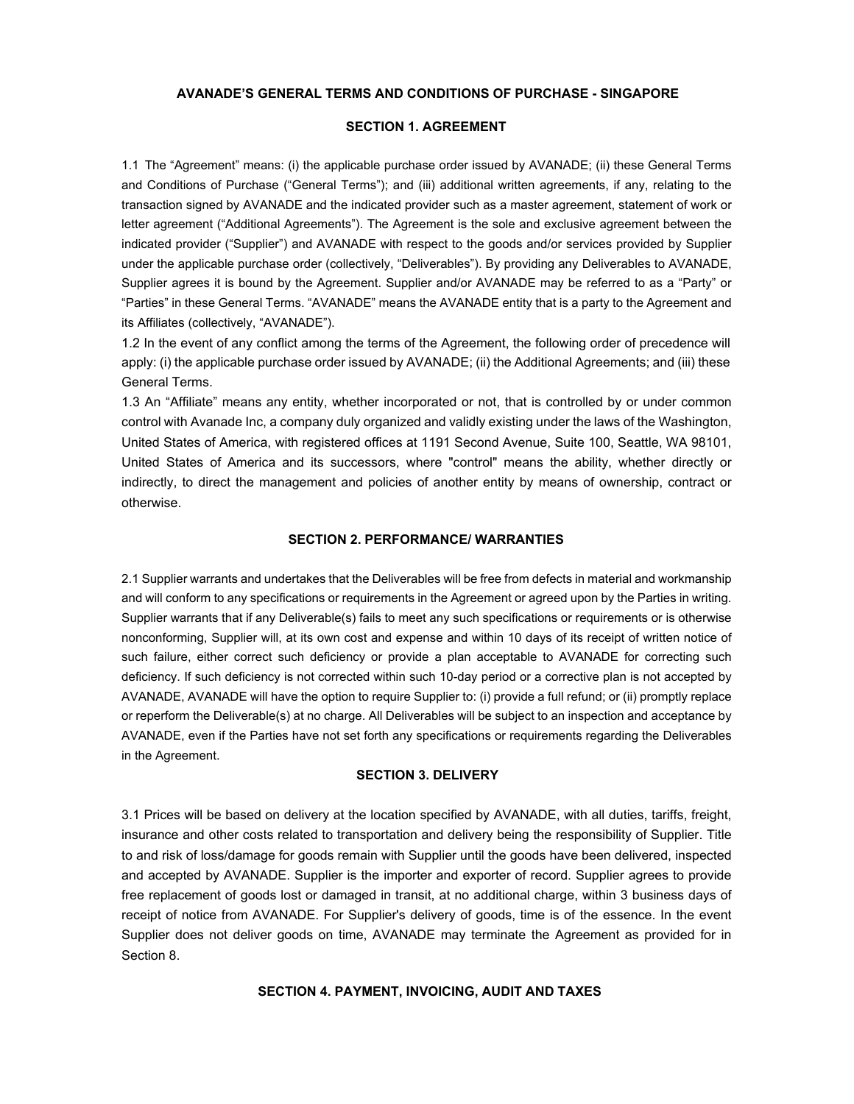## **AVANADE'S GENERAL TERMS AND CONDITIONS OF PURCHASE - SINGAPORE**

# **SECTION 1. AGREEMENT**

1.1 The "Agreement" means: (i) the applicable purchase order issued by AVANADE; (ii) these General Terms and Conditions of Purchase ("General Terms"); and (iii) additional written agreements, if any, relating to the transaction signed by AVANADE and the indicated provider such as a master agreement, statement of work or letter agreement ("Additional Agreements"). The Agreement is the sole and exclusive agreement between the indicated provider ("Supplier") and AVANADE with respect to the goods and/or services provided by Supplier under the applicable purchase order (collectively, "Deliverables"). By providing any Deliverables to AVANADE, Supplier agrees it is bound by the Agreement. Supplier and/or AVANADE may be referred to as a "Party" or "Parties" in these General Terms. "AVANADE" means the AVANADE entity that is a party to the Agreement and its Affiliates (collectively, "AVANADE").

1.2 In the event of any conflict among the terms of the Agreement, the following order of precedence will apply: (i) the applicable purchase order issued by AVANADE; (ii) the Additional Agreements; and (iii) these General Terms.

1.3 An "Affiliate" means any entity, whether incorporated or not, that is controlled by or under common control with Avanade Inc, a company duly organized and validly existing under the laws of the Washington, United States of America, with registered offices at 1191 Second Avenue, Suite 100, Seattle, WA 98101, United States of America and its successors, where "control" means the ability, whether directly or indirectly, to direct the management and policies of another entity by means of ownership, contract or otherwise.

### **SECTION 2. PERFORMANCE/ WARRANTIES**

2.1 Supplier warrants and undertakes that the Deliverables will be free from defects in material and workmanship and will conform to any specifications or requirements in the Agreement or agreed upon by the Parties in writing. Supplier warrants that if any Deliverable(s) fails to meet any such specifications or requirements or is otherwise nonconforming, Supplier will, at its own cost and expense and within 10 days of its receipt of written notice of such failure, either correct such deficiency or provide a plan acceptable to AVANADE for correcting such deficiency. If such deficiency is not corrected within such 10-day period or a corrective plan is not accepted by AVANADE, AVANADE will have the option to require Supplier to: (i) provide a full refund; or (ii) promptly replace or reperform the Deliverable(s) at no charge. All Deliverables will be subject to an inspection and acceptance by AVANADE, even if the Parties have not set forth any specifications or requirements regarding the Deliverables in the Agreement.

## **SECTION 3. DELIVERY**

3.1 Prices will be based on delivery at the location specified by AVANADE, with all duties, tariffs, freight, insurance and other costs related to transportation and delivery being the responsibility of Supplier. Title to and risk of loss/damage for goods remain with Supplier until the goods have been delivered, inspected and accepted by AVANADE. Supplier is the importer and exporter of record. Supplier agrees to provide free replacement of goods lost or damaged in transit, at no additional charge, within 3 business days of receipt of notice from AVANADE. For Supplier's delivery of goods, time is of the essence. In the event Supplier does not deliver goods on time, AVANADE may terminate the Agreement as provided for in Section 8.

**SECTION 4. PAYMENT, INVOICING, AUDIT AND TAXES**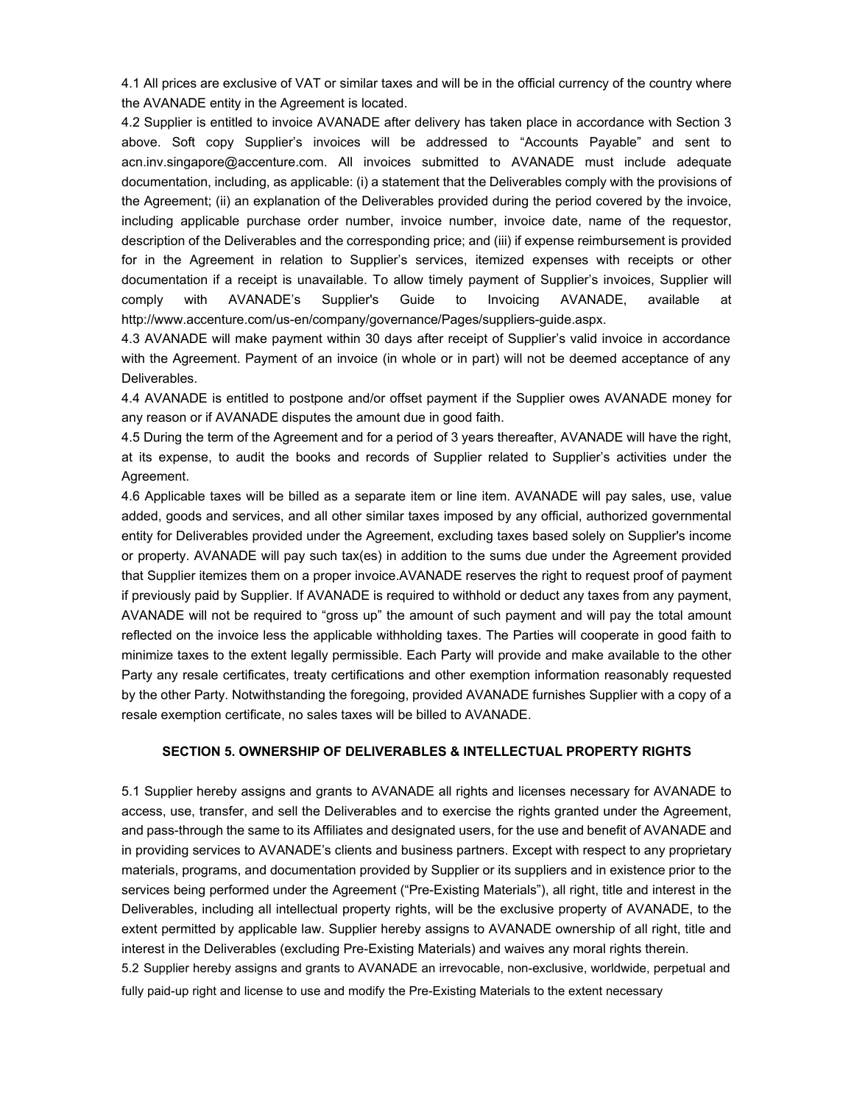4.1 All prices are exclusive of VAT or similar taxes and will be in the official currency of the country where the AVANADE entity in the Agreement is located.

4.2 Supplier is entitled to invoice AVANADE after delivery has taken place in accordance with Section 3 above. Soft copy Supplier's invoices will be addressed to "Accounts Payable" and sent to acn.inv.singapore@accenture.com. All invoices submitted to AVANADE must include adequate documentation, including, as applicable: (i) a statement that the Deliverables comply with the provisions of the Agreement; (ii) an explanation of the Deliverables provided during the period covered by the invoice, including applicable purchase order number, invoice number, invoice date, name of the requestor, description of the Deliverables and the corresponding price; and (iii) if expense reimbursement is provided for in the Agreement in relation to Supplier's services, itemized expenses with receipts or other documentation if a receipt is unavailable. To allow timely payment of Supplier's invoices, Supplier will comply with AVANADE's Supplier's Guide to Invoicing AVANADE, available at http://www.accenture.com/us-en/company/governance/Pages/suppliers-guide.aspx.

4.3 AVANADE will make payment within 30 days after receipt of Supplier's valid invoice in accordance with the Agreement. Payment of an invoice (in whole or in part) will not be deemed acceptance of any Deliverables.

4.4 AVANADE is entitled to postpone and/or offset payment if the Supplier owes AVANADE money for any reason or if AVANADE disputes the amount due in good faith.

4.5 During the term of the Agreement and for a period of 3 years thereafter, AVANADE will have the right, at its expense, to audit the books and records of Supplier related to Supplier's activities under the Agreement.

4.6 Applicable taxes will be billed as a separate item or line item. AVANADE will pay sales, use, value added, goods and services, and all other similar taxes imposed by any official, authorized governmental entity for Deliverables provided under the Agreement, excluding taxes based solely on Supplier's income or property. AVANADE will pay such tax(es) in addition to the sums due under the Agreement provided that Supplier itemizes them on a proper invoice.AVANADE reserves the right to request proof of payment if previously paid by Supplier. If AVANADE is required to withhold or deduct any taxes from any payment, AVANADE will not be required to "gross up" the amount of such payment and will pay the total amount reflected on the invoice less the applicable withholding taxes. The Parties will cooperate in good faith to minimize taxes to the extent legally permissible. Each Party will provide and make available to the other Party any resale certificates, treaty certifications and other exemption information reasonably requested by the other Party. Notwithstanding the foregoing, provided AVANADE furnishes Supplier with a copy of a resale exemption certificate, no sales taxes will be billed to AVANADE.

# **SECTION 5. OWNERSHIP OF DELIVERABLES & INTELLECTUAL PROPERTY RIGHTS**

5.1 Supplier hereby assigns and grants to AVANADE all rights and licenses necessary for AVANADE to access, use, transfer, and sell the Deliverables and to exercise the rights granted under the Agreement, and pass-through the same to its Affiliates and designated users, for the use and benefit of AVANADE and in providing services to AVANADE's clients and business partners. Except with respect to any proprietary materials, programs, and documentation provided by Supplier or its suppliers and in existence prior to the services being performed under the Agreement ("Pre-Existing Materials"), all right, title and interest in the Deliverables, including all intellectual property rights, will be the exclusive property of AVANADE, to the extent permitted by applicable law. Supplier hereby assigns to AVANADE ownership of all right, title and interest in the Deliverables (excluding Pre-Existing Materials) and waives any moral rights therein. 5.2 Supplier hereby assigns and grants to AVANADE an irrevocable, non-exclusive, worldwide, perpetual and

fully paid-up right and license to use and modify the Pre-Existing Materials to the extent necessary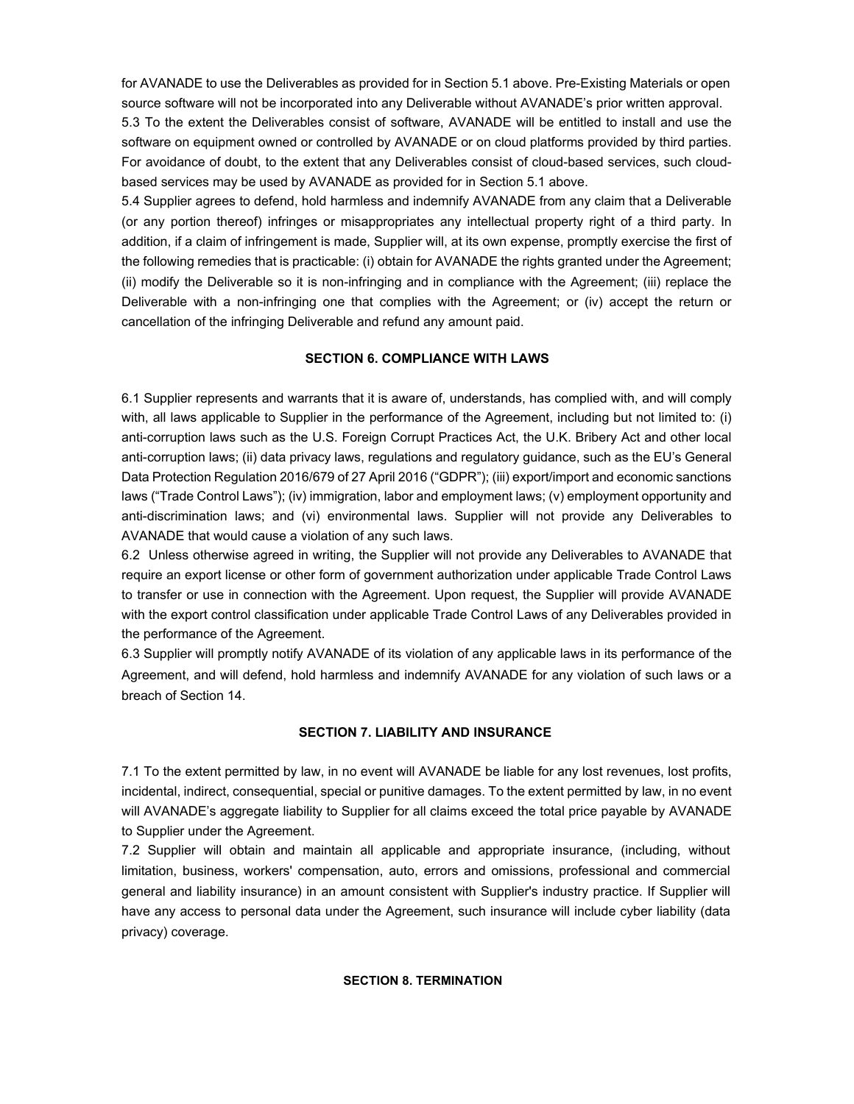for AVANADE to use the Deliverables as provided for in Section 5.1 above. Pre-Existing Materials or open source software will not be incorporated into any Deliverable without AVANADE's prior written approval.

5.3 To the extent the Deliverables consist of software, AVANADE will be entitled to install and use the software on equipment owned or controlled by AVANADE or on cloud platforms provided by third parties. For avoidance of doubt, to the extent that any Deliverables consist of cloud-based services, such cloudbased services may be used by AVANADE as provided for in Section 5.1 above.

5.4 Supplier agrees to defend, hold harmless and indemnify AVANADE from any claim that a Deliverable (or any portion thereof) infringes or misappropriates any intellectual property right of a third party. In addition, if a claim of infringement is made, Supplier will, at its own expense, promptly exercise the first of the following remedies that is practicable: (i) obtain for AVANADE the rights granted under the Agreement; (ii) modify the Deliverable so it is non-infringing and in compliance with the Agreement; (iii) replace the Deliverable with a non-infringing one that complies with the Agreement; or (iv) accept the return or cancellation of the infringing Deliverable and refund any amount paid.

### **SECTION 6. COMPLIANCE WITH LAWS**

6.1 Supplier represents and warrants that it is aware of, understands, has complied with, and will comply with, all laws applicable to Supplier in the performance of the Agreement, including but not limited to: (i) anti-corruption laws such as the U.S. Foreign Corrupt Practices Act, the U.K. Bribery Act and other local anti-corruption laws; (ii) data privacy laws, regulations and regulatory guidance, such as the EU's General Data Protection Regulation 2016/679 of 27 April 2016 ("GDPR"); (iii) export/import and economic sanctions laws ("Trade Control Laws"); (iv) immigration, labor and employment laws; (v) employment opportunity and anti-discrimination laws; and (vi) environmental laws. Supplier will not provide any Deliverables to AVANADE that would cause a violation of any such laws.

6.2 Unless otherwise agreed in writing, the Supplier will not provide any Deliverables to AVANADE that require an export license or other form of government authorization under applicable Trade Control Laws to transfer or use in connection with the Agreement. Upon request, the Supplier will provide AVANADE with the export control classification under applicable Trade Control Laws of any Deliverables provided in the performance of the Agreement.

6.3 Supplier will promptly notify AVANADE of its violation of any applicable laws in its performance of the Agreement, and will defend, hold harmless and indemnify AVANADE for any violation of such laws or a breach of Section 14.

## **SECTION 7. LIABILITY AND INSURANCE**

7.1 To the extent permitted by law, in no event will AVANADE be liable for any lost revenues, lost profits, incidental, indirect, consequential, special or punitive damages. To the extent permitted by law, in no event will AVANADE's aggregate liability to Supplier for all claims exceed the total price payable by AVANADE to Supplier under the Agreement.

7.2 Supplier will obtain and maintain all applicable and appropriate insurance, (including, without limitation, business, workers' compensation, auto, errors and omissions, professional and commercial general and liability insurance) in an amount consistent with Supplier's industry practice. If Supplier will have any access to personal data under the Agreement, such insurance will include cyber liability (data privacy) coverage.

# **SECTION 8. TERMINATION**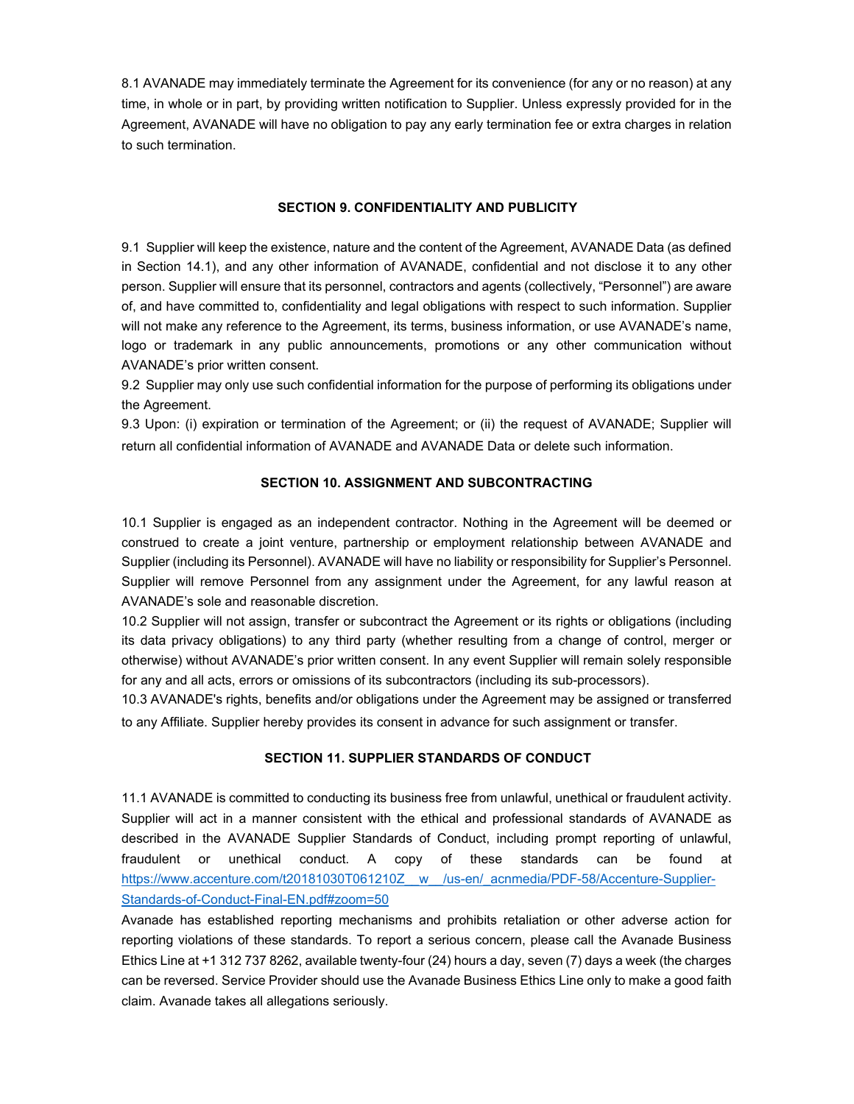8.1 AVANADE may immediately terminate the Agreement for its convenience (for any or no reason) at any time, in whole or in part, by providing written notification to Supplier. Unless expressly provided for in the Agreement, AVANADE will have no obligation to pay any early termination fee or extra charges in relation to such termination.

## **SECTION 9. CONFIDENTIALITY AND PUBLICITY**

9.1 Supplier will keep the existence, nature and the content of the Agreement, AVANADE Data (as defined in Section 14.1), and any other information of AVANADE, confidential and not disclose it to any other person. Supplier will ensure that its personnel, contractors and agents (collectively, "Personnel") are aware of, and have committed to, confidentiality and legal obligations with respect to such information. Supplier will not make any reference to the Agreement, its terms, business information, or use AVANADE's name, logo or trademark in any public announcements, promotions or any other communication without AVANADE's prior written consent.

9.2 Supplier may only use such confidential information for the purpose of performing its obligations under the Agreement.

9.3 Upon: (i) expiration or termination of the Agreement; or (ii) the request of AVANADE; Supplier will return all confidential information of AVANADE and AVANADE Data or delete such information.

# **SECTION 10. ASSIGNMENT AND SUBCONTRACTING**

10.1 Supplier is engaged as an independent contractor. Nothing in the Agreement will be deemed or construed to create a joint venture, partnership or employment relationship between AVANADE and Supplier (including its Personnel). AVANADE will have no liability or responsibility for Supplier's Personnel. Supplier will remove Personnel from any assignment under the Agreement, for any lawful reason at AVANADE's sole and reasonable discretion.

10.2 Supplier will not assign, transfer or subcontract the Agreement or its rights or obligations (including its data privacy obligations) to any third party (whether resulting from a change of control, merger or otherwise) without AVANADE's prior written consent. In any event Supplier will remain solely responsible for any and all acts, errors or omissions of its subcontractors (including its sub-processors).

10.3 AVANADE's rights, benefits and/or obligations under the Agreement may be assigned or transferred to any Affiliate. Supplier hereby provides its consent in advance for such assignment or transfer.

## **SECTION 11. SUPPLIER STANDARDS OF CONDUCT**

11.1 AVANADE is committed to conducting its business free from unlawful, unethical or fraudulent activity. Supplier will act in a manner consistent with the ethical and professional standards of AVANADE as described in the AVANADE Supplier Standards of Conduct, including prompt reporting of unlawful, fraudulent or unethical conduct. A copy of these standards can be found at https://www.accenture.com/t20181030T061210Z\_\_w\_\_/us-en/\_acnmedia/PDF-58/Accenture-Supplier-Standards-of-Conduct-Final-EN.pdf#zoom=50

Avanade has established reporting mechanisms and prohibits retaliation or other adverse action for reporting violations of these standards. To report a serious concern, please call the Avanade Business Ethics Line at +1 312 737 8262, available twenty-four (24) hours a day, seven (7) days a week (the charges can be reversed. Service Provider should use the Avanade Business Ethics Line only to make a good faith claim. Avanade takes all allegations seriously.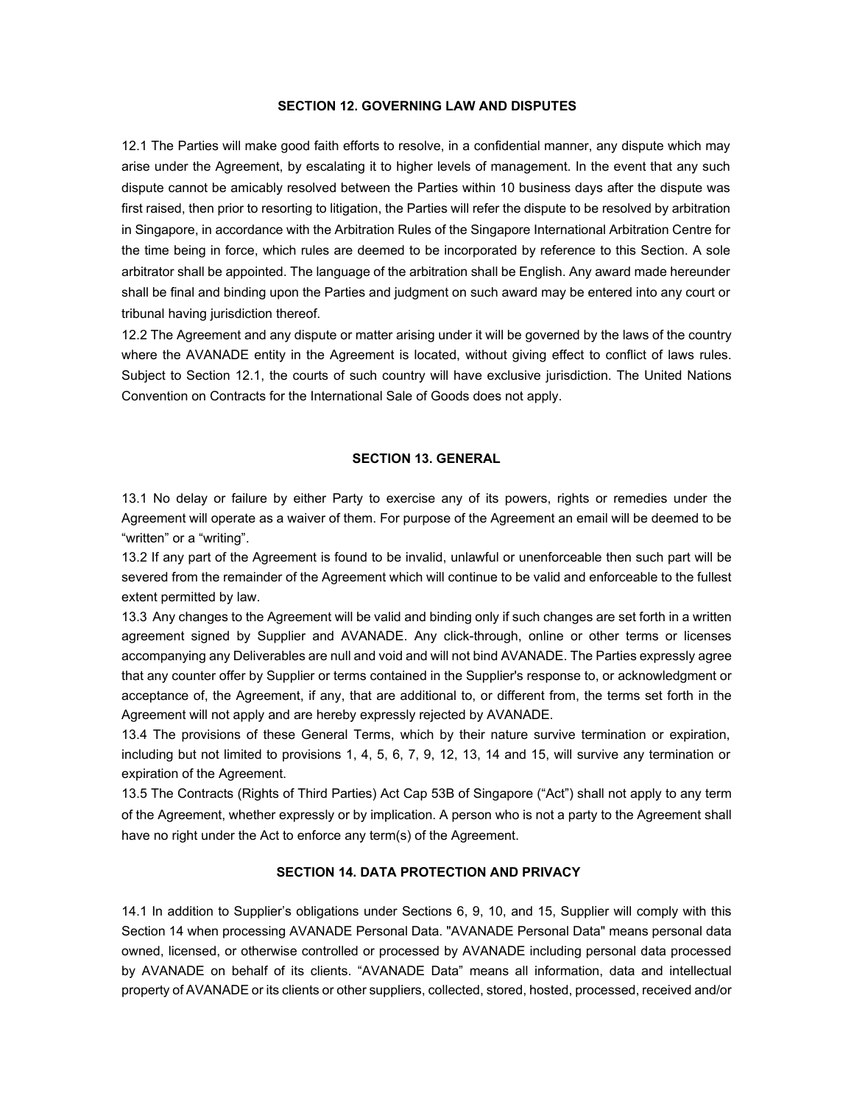#### **SECTION 12. GOVERNING LAW AND DISPUTES**

12.1 The Parties will make good faith efforts to resolve, in a confidential manner, any dispute which may arise under the Agreement, by escalating it to higher levels of management. In the event that any such dispute cannot be amicably resolved between the Parties within 10 business days after the dispute was first raised, then prior to resorting to litigation, the Parties will refer the dispute to be resolved by arbitration in Singapore, in accordance with the Arbitration Rules of the Singapore International Arbitration Centre for the time being in force, which rules are deemed to be incorporated by reference to this Section. A sole arbitrator shall be appointed. The language of the arbitration shall be English. Any award made hereunder shall be final and binding upon the Parties and judgment on such award may be entered into any court or tribunal having jurisdiction thereof.

12.2 The Agreement and any dispute or matter arising under it will be governed by the laws of the country where the AVANADE entity in the Agreement is located, without giving effect to conflict of laws rules. Subject to Section 12.1, the courts of such country will have exclusive jurisdiction. The United Nations Convention on Contracts for the International Sale of Goods does not apply.

#### **SECTION 13. GENERAL**

13.1 No delay or failure by either Party to exercise any of its powers, rights or remedies under the Agreement will operate as a waiver of them. For purpose of the Agreement an email will be deemed to be "written" or a "writing".

13.2 If any part of the Agreement is found to be invalid, unlawful or unenforceable then such part will be severed from the remainder of the Agreement which will continue to be valid and enforceable to the fullest extent permitted by law.

13.3 Any changes to the Agreement will be valid and binding only if such changes are set forth in a written agreement signed by Supplier and AVANADE. Any click-through, online or other terms or licenses accompanying any Deliverables are null and void and will not bind AVANADE. The Parties expressly agree that any counter offer by Supplier or terms contained in the Supplier's response to, or acknowledgment or acceptance of, the Agreement, if any, that are additional to, or different from, the terms set forth in the Agreement will not apply and are hereby expressly rejected by AVANADE.

13.4 The provisions of these General Terms, which by their nature survive termination or expiration, including but not limited to provisions 1, 4, 5, 6, 7, 9, 12, 13, 14 and 15, will survive any termination or expiration of the Agreement.

13.5 The Contracts (Rights of Third Parties) Act Cap 53B of Singapore ("Act") shall not apply to any term of the Agreement, whether expressly or by implication. A person who is not a party to the Agreement shall have no right under the Act to enforce any term(s) of the Agreement.

# **SECTION 14. DATA PROTECTION AND PRIVACY**

14.1 In addition to Supplier's obligations under Sections 6, 9, 10, and 15, Supplier will comply with this Section 14 when processing AVANADE Personal Data. "AVANADE Personal Data" means personal data owned, licensed, or otherwise controlled or processed by AVANADE including personal data processed by AVANADE on behalf of its clients. "AVANADE Data" means all information, data and intellectual property of AVANADE or its clients or other suppliers, collected, stored, hosted, processed, received and/or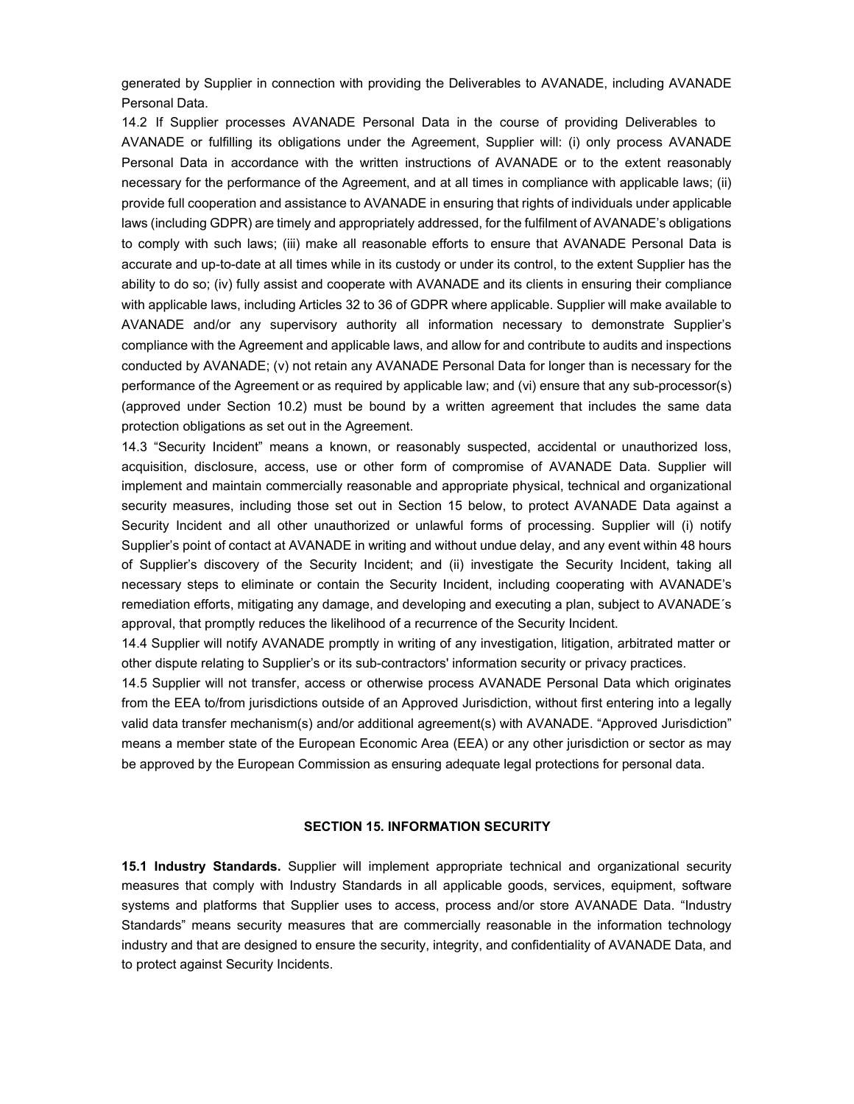generated by Supplier in connection with providing the Deliverables to AVANADE, including AVANADE Personal Data.

14.2 If Supplier processes AVANADE Personal Data in the course of providing Deliverables to AVANADE or fulfilling its obligations under the Agreement, Supplier will: (i) only process AVANADE Personal Data in accordance with the written instructions of AVANADE or to the extent reasonably necessary for the performance of the Agreement, and at all times in compliance with applicable laws; (ii) provide full cooperation and assistance to AVANADE in ensuring that rights of individuals under applicable laws (including GDPR) are timely and appropriately addressed, for the fulfilment of AVANADE's obligations to comply with such laws; (iii) make all reasonable efforts to ensure that AVANADE Personal Data is accurate and up-to-date at all times while in its custody or under its control, to the extent Supplier has the ability to do so; (iv) fully assist and cooperate with AVANADE and its clients in ensuring their compliance with applicable laws, including Articles 32 to 36 of GDPR where applicable. Supplier will make available to AVANADE and/or any supervisory authority all information necessary to demonstrate Supplier's compliance with the Agreement and applicable laws, and allow for and contribute to audits and inspections conducted by AVANADE; (v) not retain any AVANADE Personal Data for longer than is necessary for the performance of the Agreement or as required by applicable law; and (vi) ensure that any sub-processor(s) (approved under Section 10.2) must be bound by a written agreement that includes the same data protection obligations as set out in the Agreement.

14.3 "Security Incident" means a known, or reasonably suspected, accidental or unauthorized loss, acquisition, disclosure, access, use or other form of compromise of AVANADE Data. Supplier will implement and maintain commercially reasonable and appropriate physical, technical and organizational security measures, including those set out in Section 15 below, to protect AVANADE Data against a Security Incident and all other unauthorized or unlawful forms of processing. Supplier will (i) notify Supplier's point of contact at AVANADE in writing and without undue delay, and any event within 48 hours of Supplier's discovery of the Security Incident; and (ii) investigate the Security Incident, taking all necessary steps to eliminate or contain the Security Incident, including cooperating with AVANADE's remediation efforts, mitigating any damage, and developing and executing a plan, subject to AVANADE´s approval, that promptly reduces the likelihood of a recurrence of the Security Incident.

14.4 Supplier will notify AVANADE promptly in writing of any investigation, litigation, arbitrated matter or other dispute relating to Supplier's or its sub-contractors' information security or privacy practices.

14.5 Supplier will not transfer, access or otherwise process AVANADE Personal Data which originates from the EEA to/from jurisdictions outside of an Approved Jurisdiction, without first entering into a legally valid data transfer mechanism(s) and/or additional agreement(s) with AVANADE. "Approved Jurisdiction" means a member state of the European Economic Area (EEA) or any other jurisdiction or sector as may be approved by the European Commission as ensuring adequate legal protections for personal data.

# **SECTION 15. INFORMATION SECURITY**

**15.1 Industry Standards.** Supplier will implement appropriate technical and organizational security measures that comply with Industry Standards in all applicable goods, services, equipment, software systems and platforms that Supplier uses to access, process and/or store AVANADE Data. "Industry Standards" means security measures that are commercially reasonable in the information technology industry and that are designed to ensure the security, integrity, and confidentiality of AVANADE Data, and to protect against Security Incidents.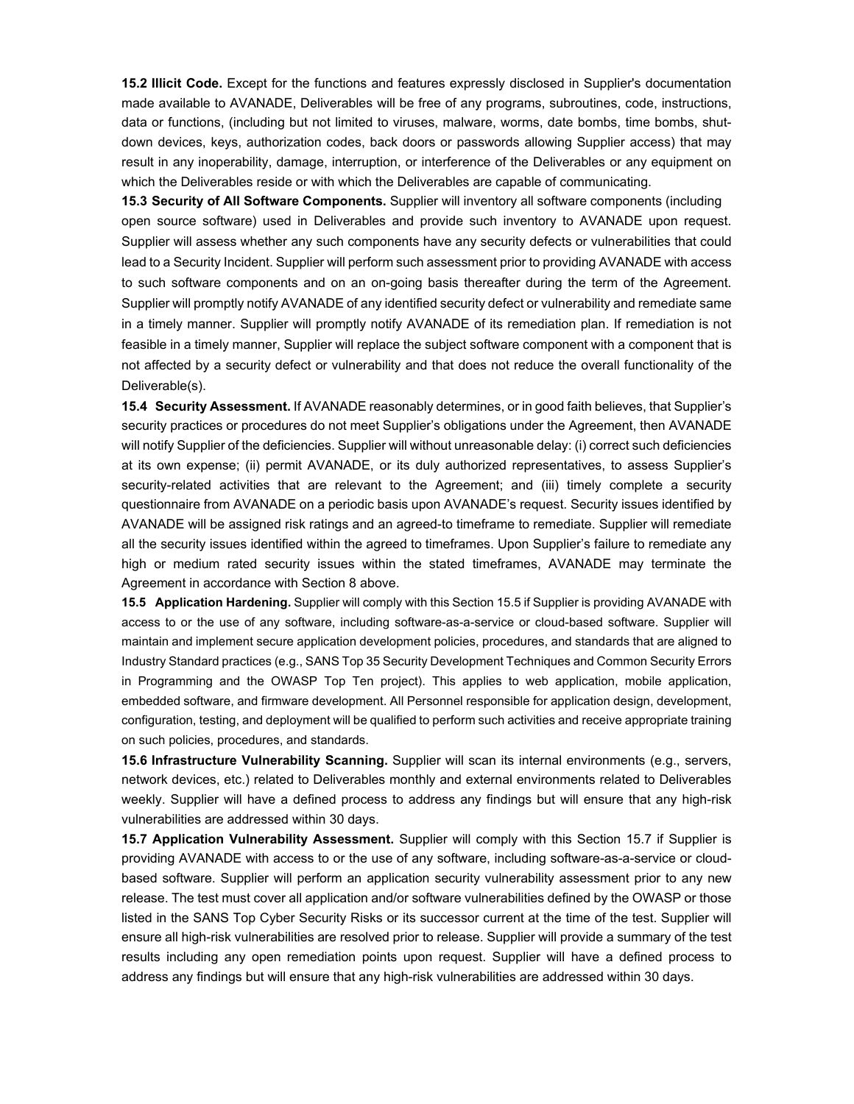**15.2 Illicit Code.** Except for the functions and features expressly disclosed in Supplier's documentation made available to AVANADE, Deliverables will be free of any programs, subroutines, code, instructions, data or functions, (including but not limited to viruses, malware, worms, date bombs, time bombs, shutdown devices, keys, authorization codes, back doors or passwords allowing Supplier access) that may result in any inoperability, damage, interruption, or interference of the Deliverables or any equipment on which the Deliverables reside or with which the Deliverables are capable of communicating.

**15.3 Security of All Software Components.** Supplier will inventory all software components (including open source software) used in Deliverables and provide such inventory to AVANADE upon request. Supplier will assess whether any such components have any security defects or vulnerabilities that could lead to a Security Incident. Supplier will perform such assessment prior to providing AVANADE with access to such software components and on an on-going basis thereafter during the term of the Agreement. Supplier will promptly notify AVANADE of any identified security defect or vulnerability and remediate same in a timely manner. Supplier will promptly notify AVANADE of its remediation plan. If remediation is not feasible in a timely manner, Supplier will replace the subject software component with a component that is not affected by a security defect or vulnerability and that does not reduce the overall functionality of the Deliverable(s).

**15.4 Security Assessment.** If AVANADE reasonably determines, or in good faith believes, that Supplier's security practices or procedures do not meet Supplier's obligations under the Agreement, then AVANADE will notify Supplier of the deficiencies. Supplier will without unreasonable delay: (i) correct such deficiencies at its own expense; (ii) permit AVANADE, or its duly authorized representatives, to assess Supplier's security-related activities that are relevant to the Agreement; and (iii) timely complete a security questionnaire from AVANADE on a periodic basis upon AVANADE's request. Security issues identified by AVANADE will be assigned risk ratings and an agreed-to timeframe to remediate. Supplier will remediate all the security issues identified within the agreed to timeframes. Upon Supplier's failure to remediate any high or medium rated security issues within the stated timeframes, AVANADE may terminate the Agreement in accordance with Section 8 above.

**15.5 Application Hardening.** Supplier will comply with this Section 15.5 if Supplier is providing AVANADE with access to or the use of any software, including software-as-a-service or cloud-based software. Supplier will maintain and implement secure application development policies, procedures, and standards that are aligned to Industry Standard practices (e.g., SANS Top 35 Security Development Techniques and Common Security Errors in Programming and the OWASP Top Ten project). This applies to web application, mobile application, embedded software, and firmware development. All Personnel responsible for application design, development, configuration, testing, and deployment will be qualified to perform such activities and receive appropriate training on such policies, procedures, and standards.

**15.6 Infrastructure Vulnerability Scanning.** Supplier will scan its internal environments (e.g., servers, network devices, etc.) related to Deliverables monthly and external environments related to Deliverables weekly. Supplier will have a defined process to address any findings but will ensure that any high-risk vulnerabilities are addressed within 30 days.

**15.7 Application Vulnerability Assessment.** Supplier will comply with this Section 15.7 if Supplier is providing AVANADE with access to or the use of any software, including software-as-a-service or cloudbased software. Supplier will perform an application security vulnerability assessment prior to any new release. The test must cover all application and/or software vulnerabilities defined by the OWASP or those listed in the SANS Top Cyber Security Risks or its successor current at the time of the test. Supplier will ensure all high-risk vulnerabilities are resolved prior to release. Supplier will provide a summary of the test results including any open remediation points upon request. Supplier will have a defined process to address any findings but will ensure that any high-risk vulnerabilities are addressed within 30 days.